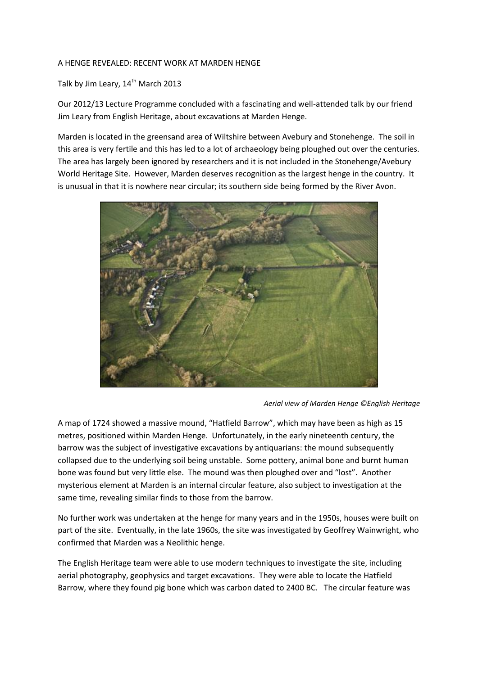## A HENGE REVEALED: RECENT WORK AT MARDEN HENGE

## Talk by Jim Leary, 14<sup>th</sup> March 2013

Our 2012/13 Lecture Programme concluded with a fascinating and well-attended talk by our friend Jim Leary from English Heritage, about excavations at Marden Henge.

Marden is located in the greensand area of Wiltshire between Avebury and Stonehenge. The soil in this area is very fertile and this has led to a lot of archaeology being ploughed out over the centuries. The area has largely been ignored by researchers and it is not included in the Stonehenge/Avebury World Heritage Site. However, Marden deserves recognition as the largest henge in the country. It is unusual in that it is nowhere near circular; its southern side being formed by the River Avon.



*Aerial view of Marden Henge ©English Heritage*

A map of 1724 showed a massive mound, "Hatfield Barrow", which may have been as high as 15 metres, positioned within Marden Henge. Unfortunately, in the early nineteenth century, the barrow was the subject of investigative excavations by antiquarians: the mound subsequently collapsed due to the underlying soil being unstable. Some pottery, animal bone and burnt human bone was found but very little else. The mound was then ploughed over and "lost". Another mysterious element at Marden is an internal circular feature, also subject to investigation at the same time, revealing similar finds to those from the barrow.

No further work was undertaken at the henge for many years and in the 1950s, houses were built on part of the site. Eventually, in the late 1960s, the site was investigated by Geoffrey Wainwright, who confirmed that Marden was a Neolithic henge.

The English Heritage team were able to use modern techniques to investigate the site, including aerial photography, geophysics and target excavations. They were able to locate the Hatfield Barrow, where they found pig bone which was carbon dated to 2400 BC. The circular feature was